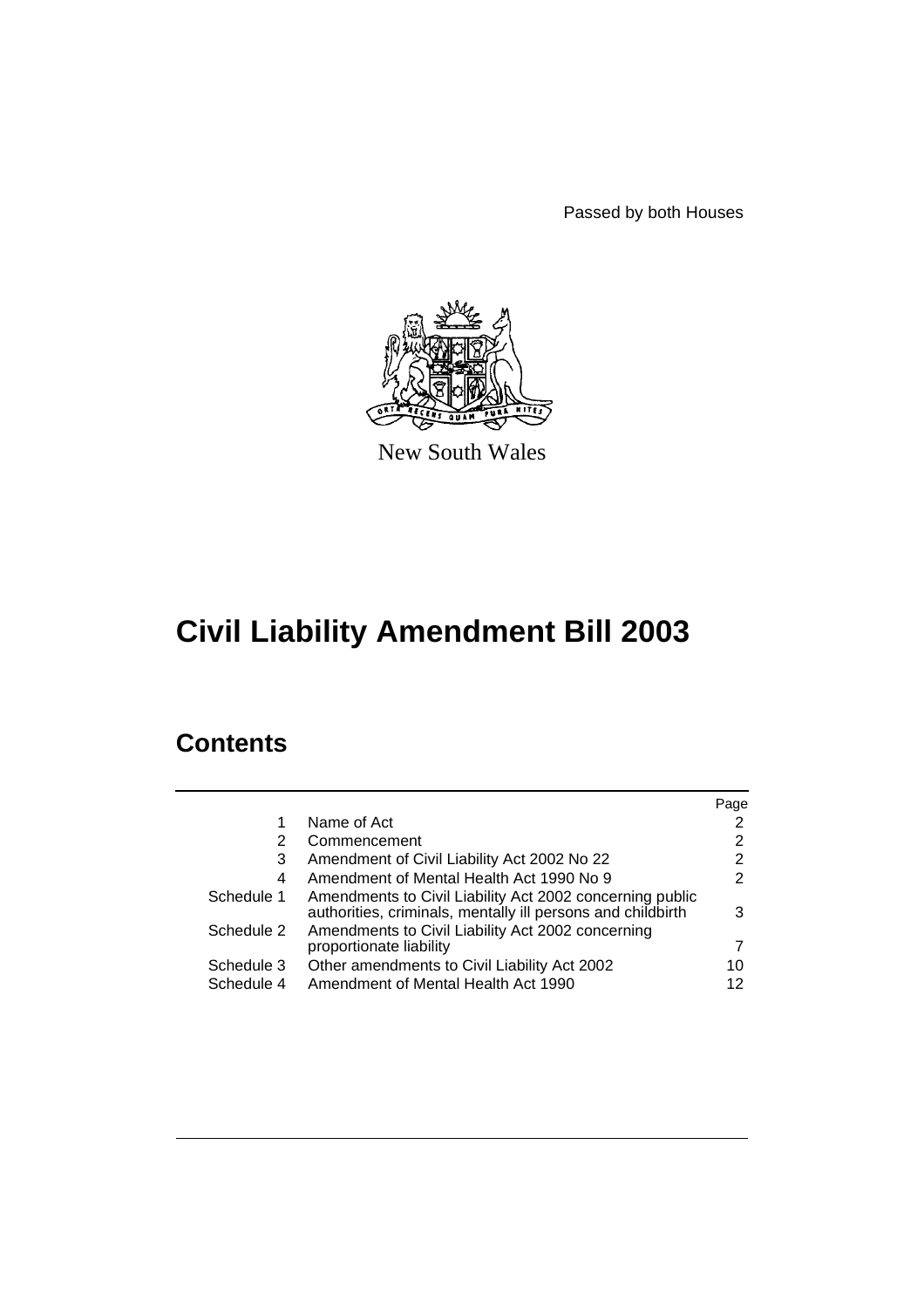Passed by both Houses



New South Wales

# **Civil Liability Amendment Bill 2003**

# **Contents**

|            |                                                                                                                         | Page |
|------------|-------------------------------------------------------------------------------------------------------------------------|------|
| 1          | Name of Act                                                                                                             |      |
| 2          | Commencement                                                                                                            | 2    |
| 3          | Amendment of Civil Liability Act 2002 No 22                                                                             | 2    |
| 4          | Amendment of Mental Health Act 1990 No 9                                                                                | 2    |
| Schedule 1 | Amendments to Civil Liability Act 2002 concerning public<br>authorities, criminals, mentally ill persons and childbirth | 3    |
| Schedule 2 | Amendments to Civil Liability Act 2002 concerning                                                                       |      |
|            | proportionate liability                                                                                                 | 7    |
| Schedule 3 | Other amendments to Civil Liability Act 2002                                                                            | 10   |
| Schedule 4 | Amendment of Mental Health Act 1990                                                                                     | 12   |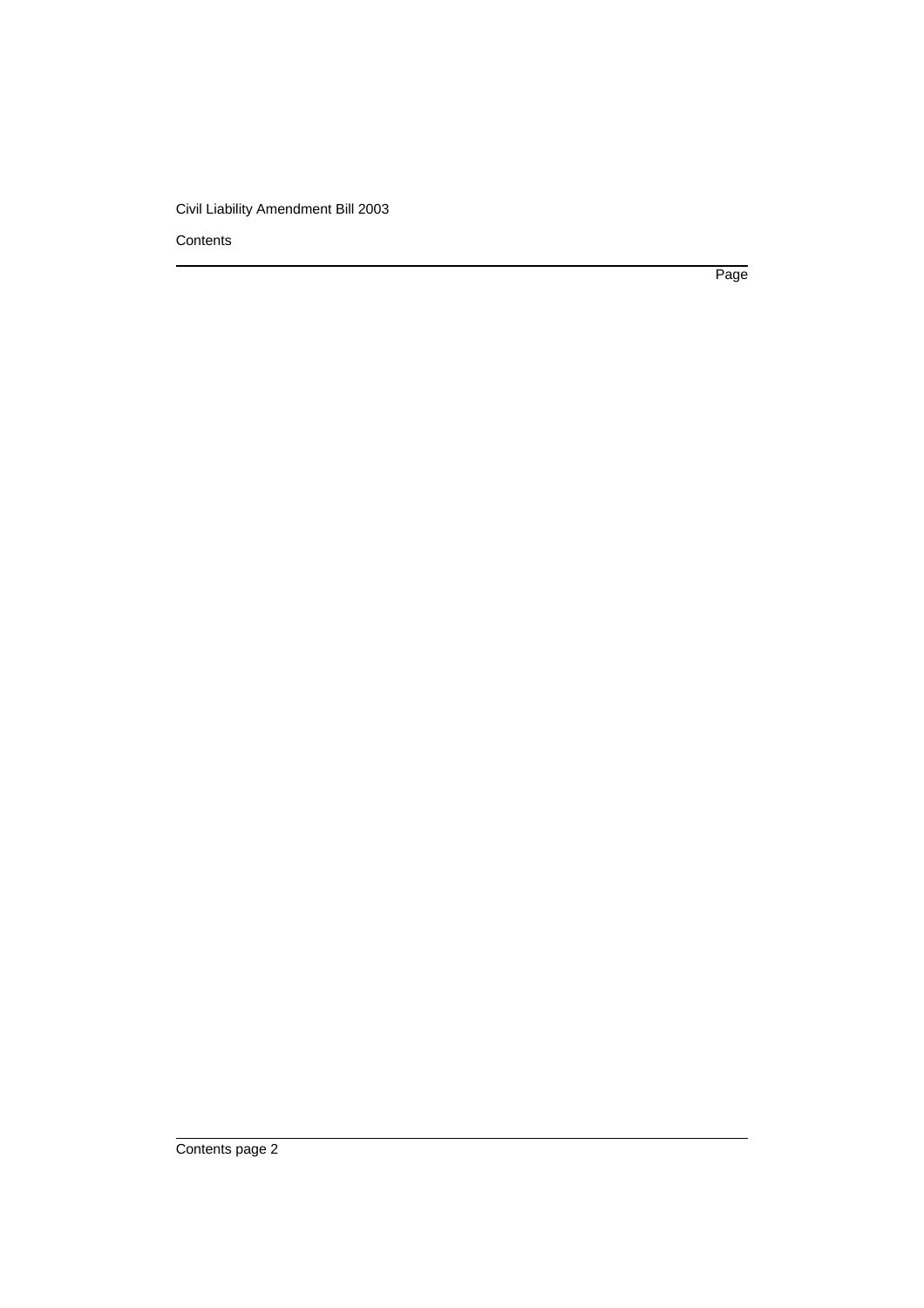**Contents** 

Page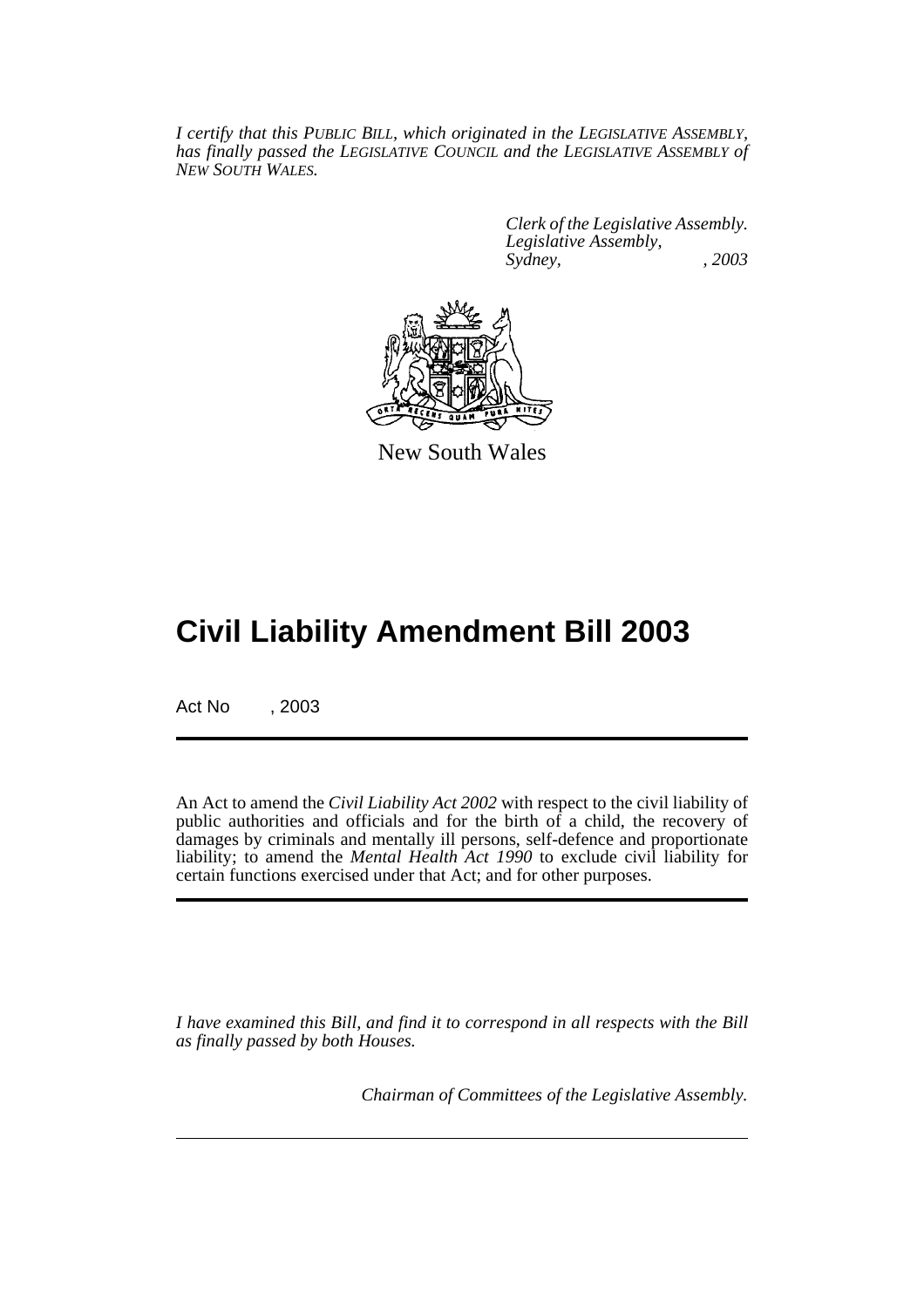*I certify that this PUBLIC BILL, which originated in the LEGISLATIVE ASSEMBLY, has finally passed the LEGISLATIVE COUNCIL and the LEGISLATIVE ASSEMBLY of NEW SOUTH WALES.*

> *Clerk of the Legislative Assembly. Legislative Assembly, Sydney, , 2003*



New South Wales

# **Civil Liability Amendment Bill 2003**

Act No , 2003

An Act to amend the *Civil Liability Act 2002* with respect to the civil liability of public authorities and officials and for the birth of a child, the recovery of damages by criminals and mentally ill persons, self-defence and proportionate liability; to amend the *Mental Health Act 1990* to exclude civil liability for certain functions exercised under that Act; and for other purposes.

*I have examined this Bill, and find it to correspond in all respects with the Bill as finally passed by both Houses.*

*Chairman of Committees of the Legislative Assembly.*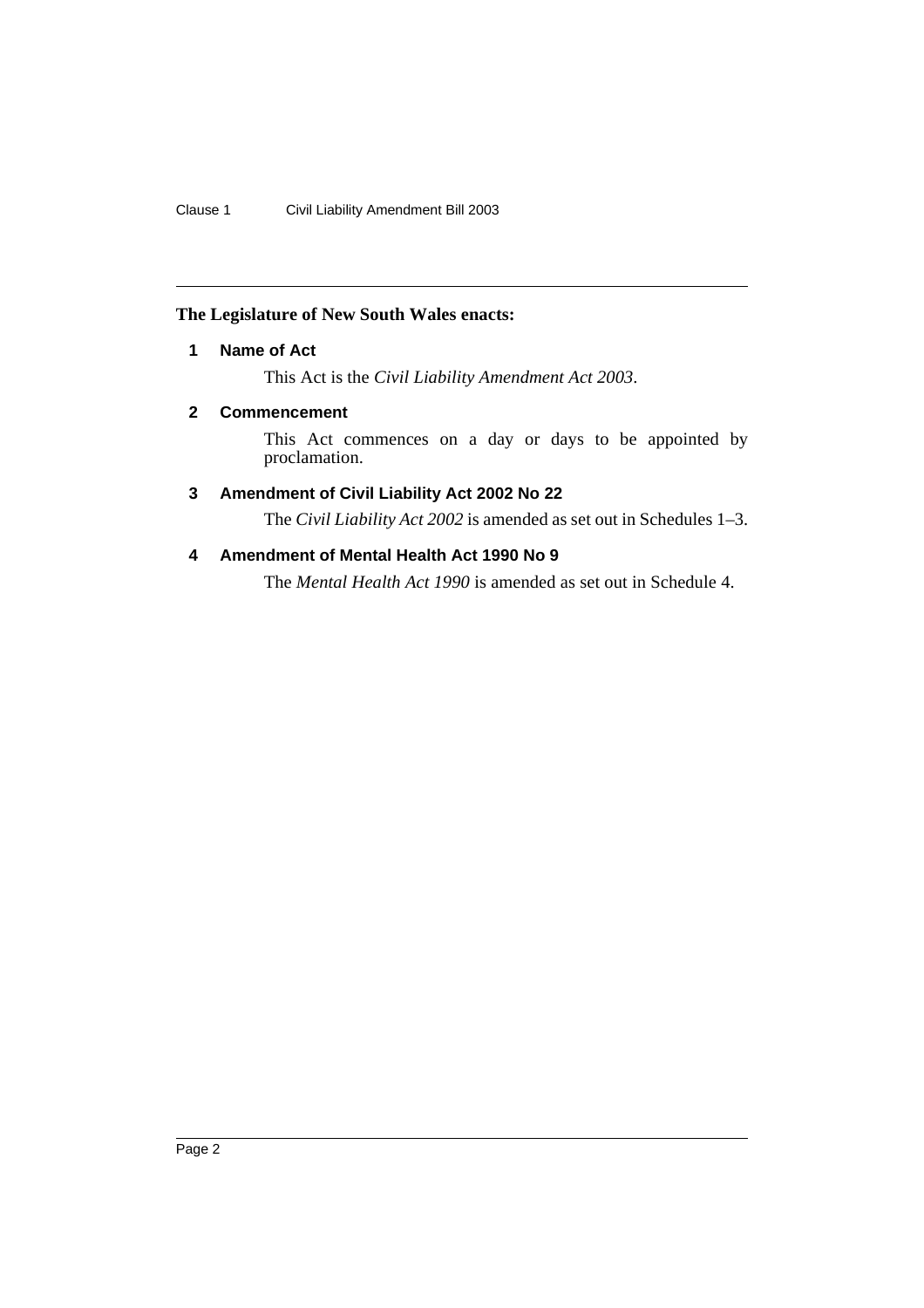# **The Legislature of New South Wales enacts:**

# **1 Name of Act**

This Act is the *Civil Liability Amendment Act 2003*.

# **2 Commencement**

This Act commences on a day or days to be appointed by proclamation.

# **3 Amendment of Civil Liability Act 2002 No 22**

The *Civil Liability Act 2002* is amended as set out in Schedules 1–3.

# **4 Amendment of Mental Health Act 1990 No 9**

The *Mental Health Act 1990* is amended as set out in Schedule 4.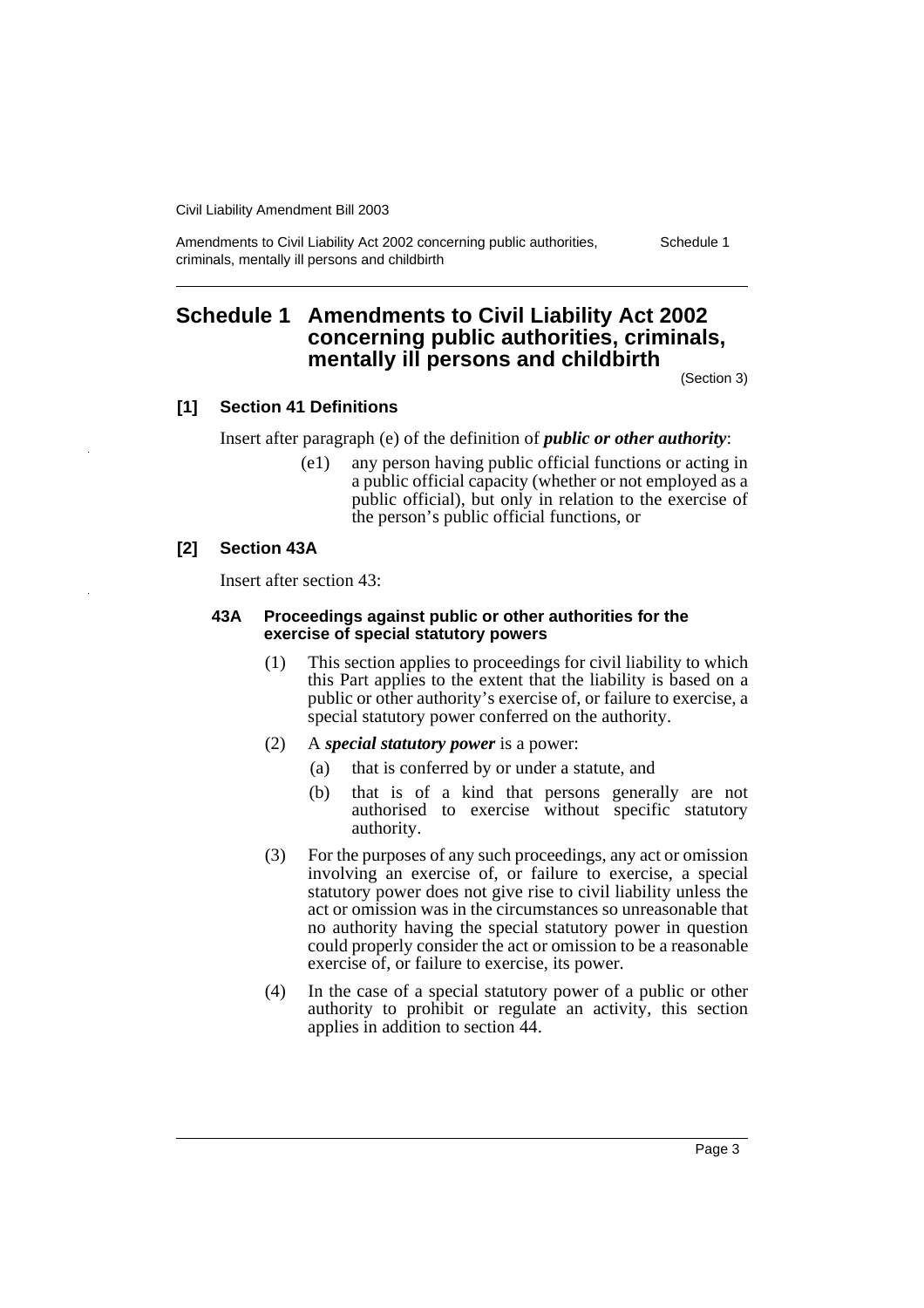Amendments to Civil Liability Act 2002 concerning public authorities, criminals, mentally ill persons and childbirth

Schedule 1

# **Schedule 1 Amendments to Civil Liability Act 2002 concerning public authorities, criminals, mentally ill persons and childbirth**

(Section 3)

# **[1] Section 41 Definitions**

Insert after paragraph (e) of the definition of *public or other authority*:

(e1) any person having public official functions or acting in a public official capacity (whether or not employed as a public official), but only in relation to the exercise of the person's public official functions, or

## **[2] Section 43A**

Insert after section 43:

#### **43A Proceedings against public or other authorities for the exercise of special statutory powers**

- (1) This section applies to proceedings for civil liability to which this Part applies to the extent that the liability is based on a public or other authority's exercise of, or failure to exercise, a special statutory power conferred on the authority.
- (2) A *special statutory power* is a power:
	- (a) that is conferred by or under a statute, and
	- (b) that is of a kind that persons generally are not authorised to exercise without specific statutory authority.
- (3) For the purposes of any such proceedings, any act or omission involving an exercise of, or failure to exercise, a special statutory power does not give rise to civil liability unless the act or omission was in the circumstances so unreasonable that no authority having the special statutory power in question could properly consider the act or omission to be a reasonable exercise of, or failure to exercise, its power.
- (4) In the case of a special statutory power of a public or other authority to prohibit or regulate an activity, this section applies in addition to section 44.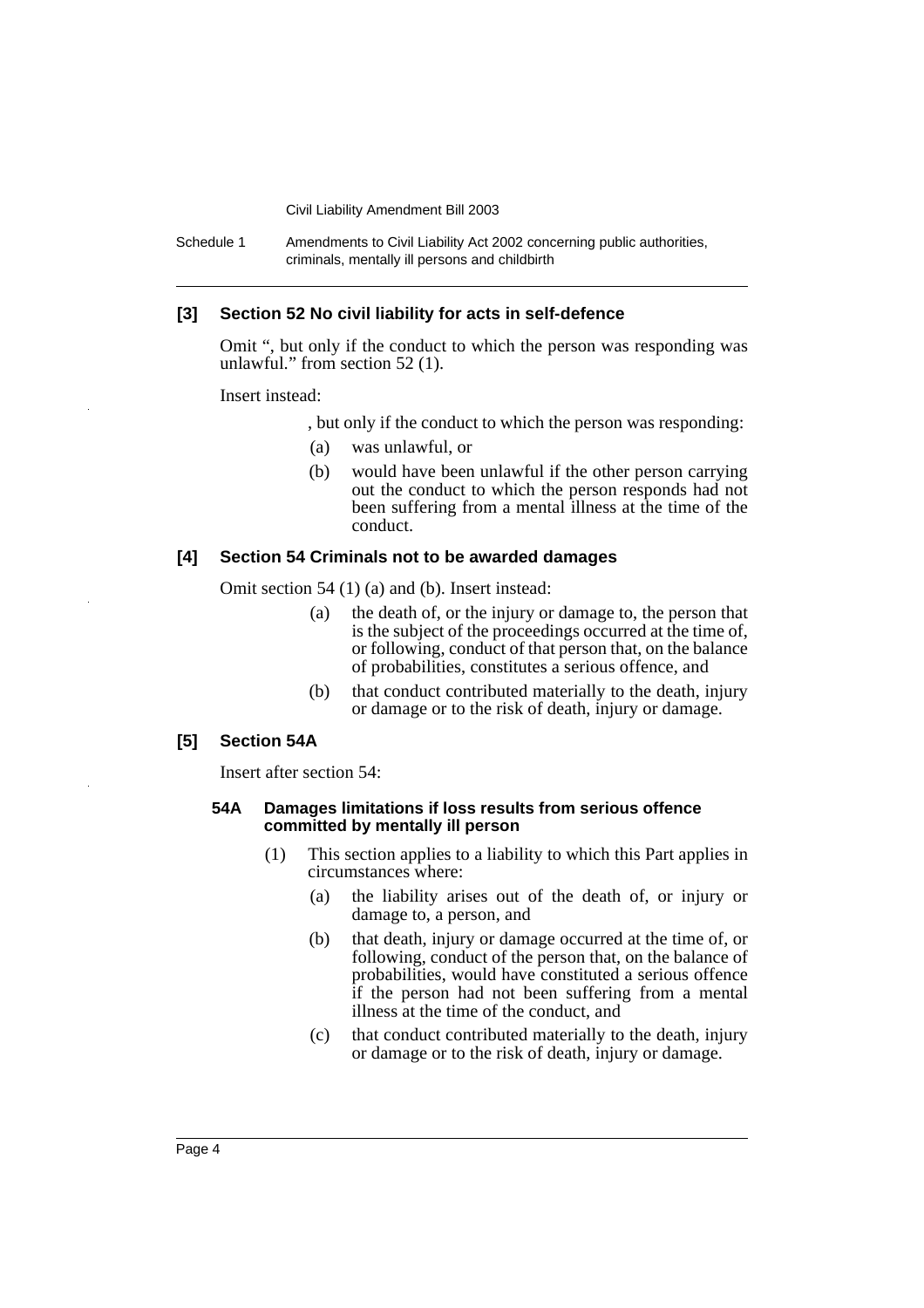Schedule 1 Amendments to Civil Liability Act 2002 concerning public authorities, criminals, mentally ill persons and childbirth

#### **[3] Section 52 No civil liability for acts in self-defence**

Omit ", but only if the conduct to which the person was responding was unlawful." from section 52 (1).

Insert instead:

, but only if the conduct to which the person was responding:

- (a) was unlawful, or
- (b) would have been unlawful if the other person carrying out the conduct to which the person responds had not been suffering from a mental illness at the time of the conduct.

#### **[4] Section 54 Criminals not to be awarded damages**

Omit section 54 (1) (a) and (b). Insert instead:

- (a) the death of, or the injury or damage to, the person that is the subject of the proceedings occurred at the time of, or following, conduct of that person that, on the balance of probabilities, constitutes a serious offence, and
- (b) that conduct contributed materially to the death, injury or damage or to the risk of death, injury or damage.

#### **[5] Section 54A**

Insert after section 54:

#### **54A Damages limitations if loss results from serious offence committed by mentally ill person**

- (1) This section applies to a liability to which this Part applies in circumstances where:
	- (a) the liability arises out of the death of, or injury or damage to, a person, and
	- (b) that death, injury or damage occurred at the time of, or following, conduct of the person that, on the balance of probabilities, would have constituted a serious offence if the person had not been suffering from a mental illness at the time of the conduct, and
	- (c) that conduct contributed materially to the death, injury or damage or to the risk of death, injury or damage.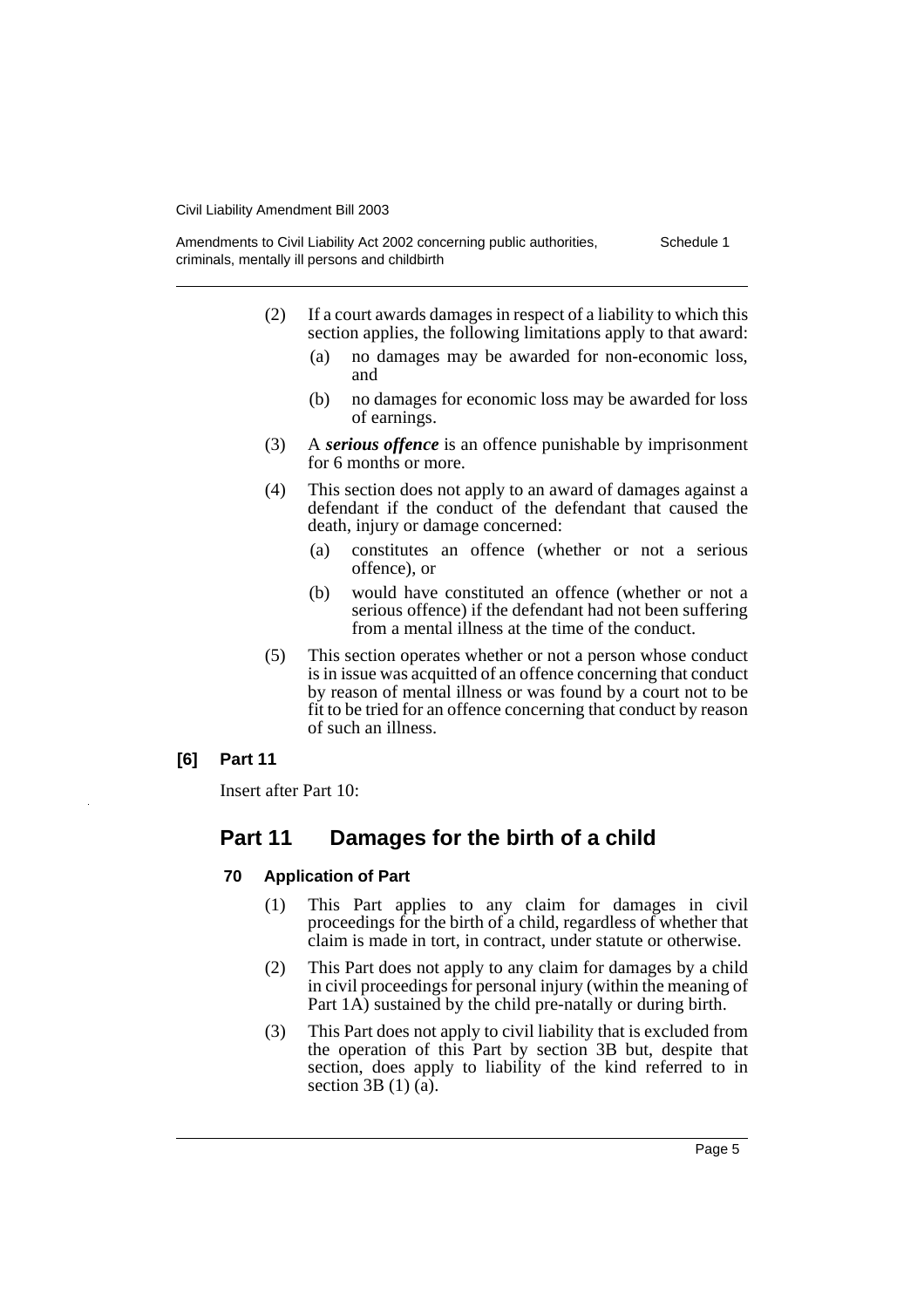criminals, mentally ill persons and childbirth

Amendments to Civil Liability Act 2002 concerning public authorities,

Schedule 1

- (2) If a court awards damages in respect of a liability to which this section applies, the following limitations apply to that award:
	- (a) no damages may be awarded for non-economic loss, and
	- (b) no damages for economic loss may be awarded for loss of earnings.
- (3) A *serious offence* is an offence punishable by imprisonment for 6 months or more.
- (4) This section does not apply to an award of damages against a defendant if the conduct of the defendant that caused the death, injury or damage concerned:
	- (a) constitutes an offence (whether or not a serious offence), or
	- (b) would have constituted an offence (whether or not a serious offence) if the defendant had not been suffering from a mental illness at the time of the conduct.
- (5) This section operates whether or not a person whose conduct is in issue was acquitted of an offence concerning that conduct by reason of mental illness or was found by a court not to be fit to be tried for an offence concerning that conduct by reason of such an illness.

## **[6] Part 11**

Insert after Part 10:

# **Part 11 Damages for the birth of a child**

## **70 Application of Part**

- (1) This Part applies to any claim for damages in civil proceedings for the birth of a child, regardless of whether that claim is made in tort, in contract, under statute or otherwise.
- (2) This Part does not apply to any claim for damages by a child in civil proceedings for personal injury (within the meaning of Part 1A) sustained by the child pre-natally or during birth.
- (3) This Part does not apply to civil liability that is excluded from the operation of this Part by section 3B but, despite that section, does apply to liability of the kind referred to in section  $3B(1)(a)$ .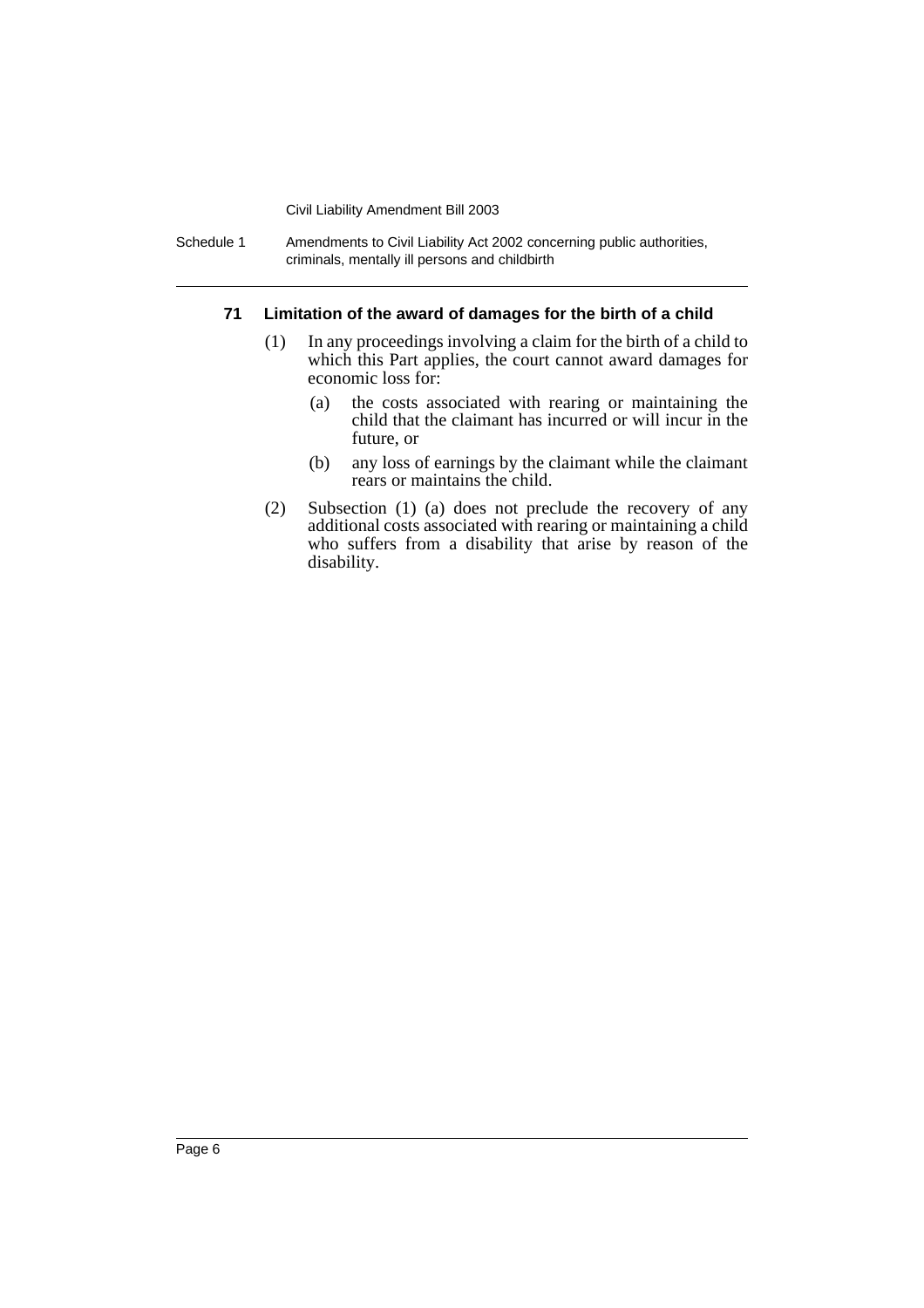Schedule 1 Amendments to Civil Liability Act 2002 concerning public authorities, criminals, mentally ill persons and childbirth

#### **71 Limitation of the award of damages for the birth of a child**

- (1) In any proceedings involving a claim for the birth of a child to which this Part applies, the court cannot award damages for economic loss for:
	- (a) the costs associated with rearing or maintaining the child that the claimant has incurred or will incur in the future, or
	- (b) any loss of earnings by the claimant while the claimant rears or maintains the child.
- (2) Subsection (1) (a) does not preclude the recovery of any additional costs associated with rearing or maintaining a child who suffers from a disability that arise by reason of the disability.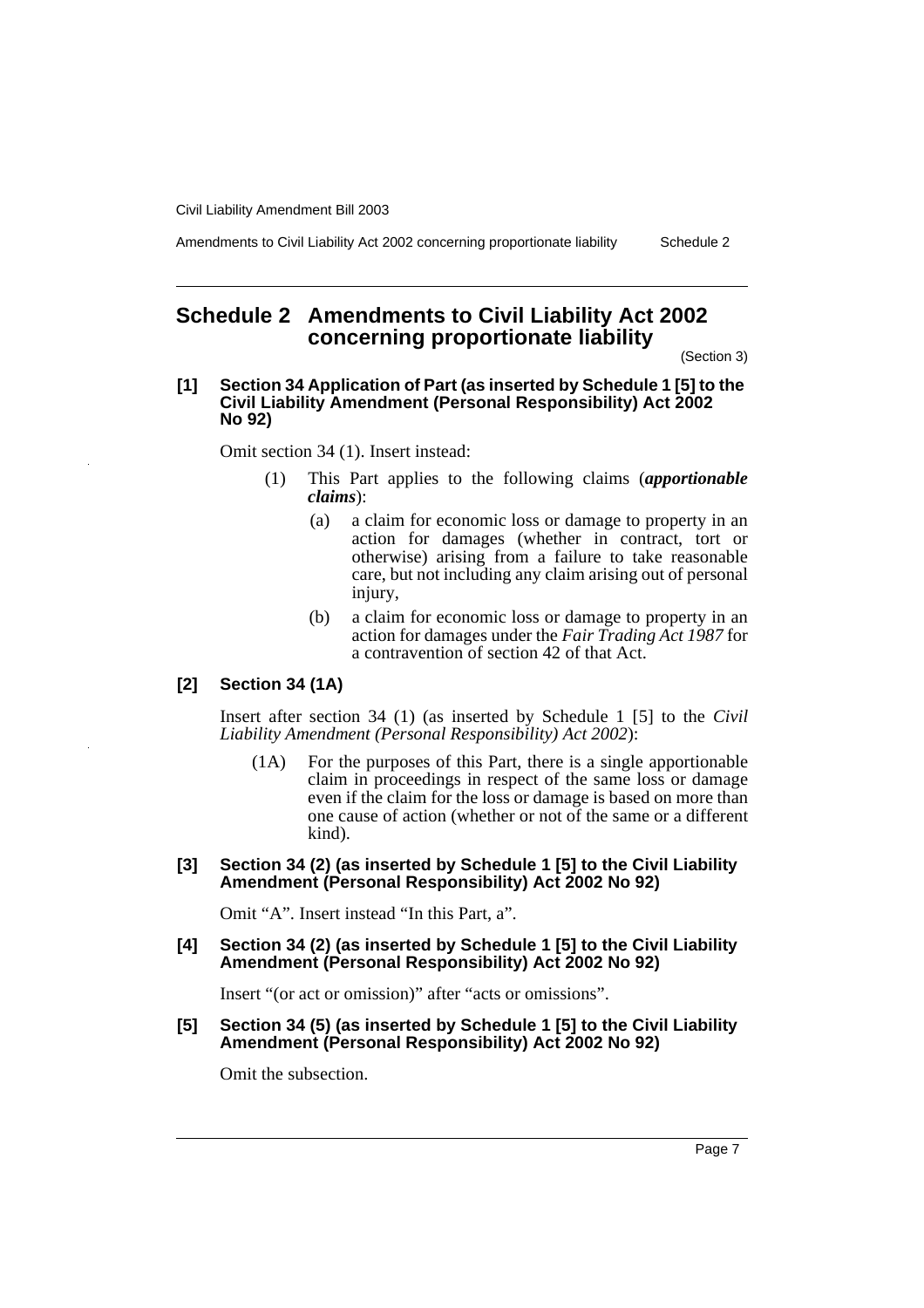Amendments to Civil Liability Act 2002 concerning proportionate liability Schedule 2

# **Schedule 2 Amendments to Civil Liability Act 2002 concerning proportionate liability**

(Section 3)

#### **[1] Section 34 Application of Part (as inserted by Schedule 1 [5] to the Civil Liability Amendment (Personal Responsibility) Act 2002 No 92)**

Omit section 34 (1). Insert instead:

- (1) This Part applies to the following claims (*apportionable claims*):
	- (a) a claim for economic loss or damage to property in an action for damages (whether in contract, tort or otherwise) arising from a failure to take reasonable care, but not including any claim arising out of personal injury,
	- (b) a claim for economic loss or damage to property in an action for damages under the *Fair Trading Act 1987* for a contravention of section 42 of that Act.

# **[2] Section 34 (1A)**

Insert after section 34 (1) (as inserted by Schedule 1 [5] to the *Civil Liability Amendment (Personal Responsibility) Act 2002*):

- (1A) For the purposes of this Part, there is a single apportionable claim in proceedings in respect of the same loss or damage even if the claim for the loss or damage is based on more than one cause of action (whether or not of the same or a different kind).
- **[3] Section 34 (2) (as inserted by Schedule 1 [5] to the Civil Liability Amendment (Personal Responsibility) Act 2002 No 92)**

Omit "A". Insert instead "In this Part, a".

**[4] Section 34 (2) (as inserted by Schedule 1 [5] to the Civil Liability Amendment (Personal Responsibility) Act 2002 No 92)**

Insert "(or act or omission)" after "acts or omissions".

**[5] Section 34 (5) (as inserted by Schedule 1 [5] to the Civil Liability Amendment (Personal Responsibility) Act 2002 No 92)**

Omit the subsection.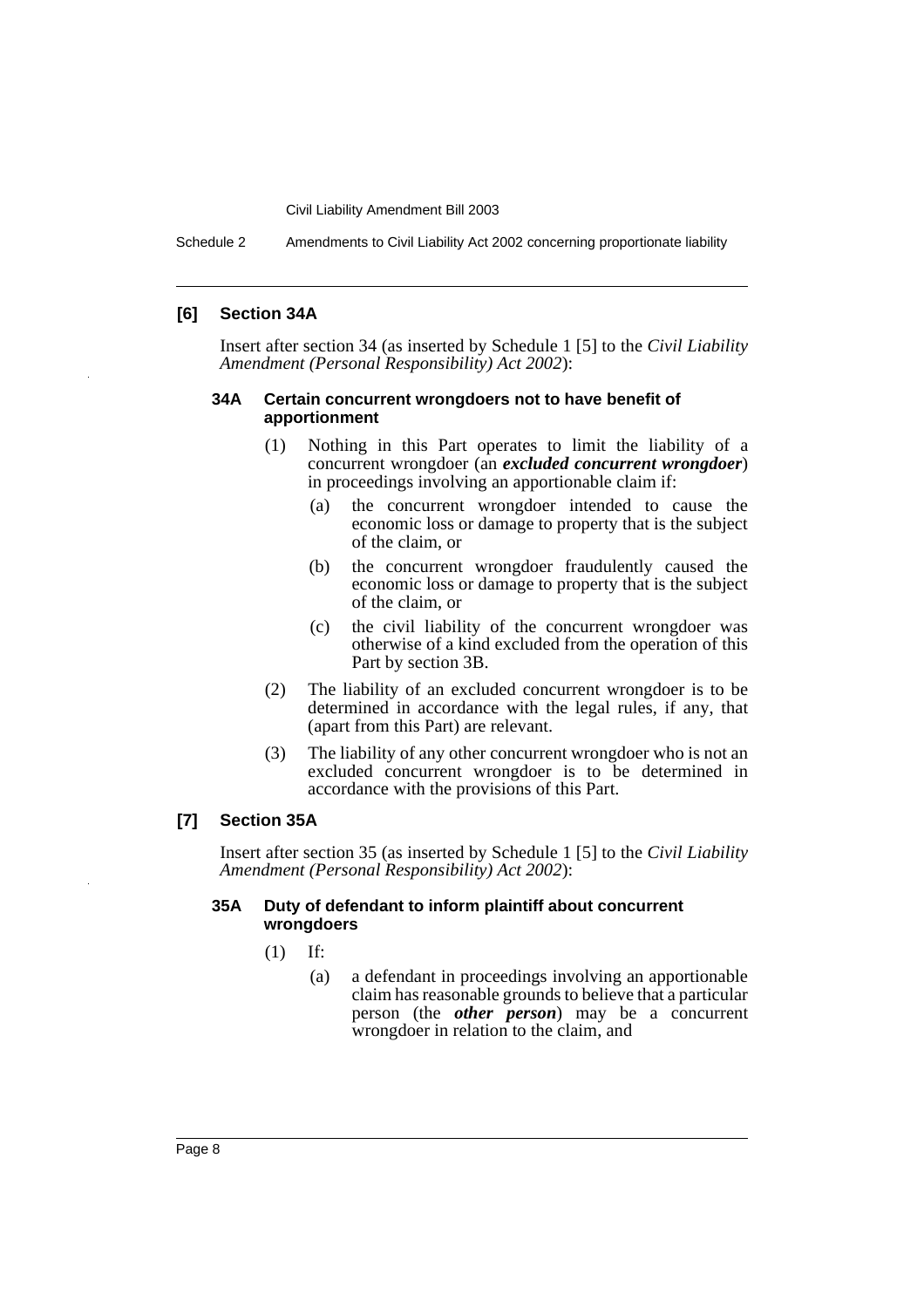Schedule 2 Amendments to Civil Liability Act 2002 concerning proportionate liability

#### **[6] Section 34A**

Insert after section 34 (as inserted by Schedule 1 [5] to the *Civil Liability Amendment (Personal Responsibility) Act 2002*):

#### **34A Certain concurrent wrongdoers not to have benefit of apportionment**

- (1) Nothing in this Part operates to limit the liability of a concurrent wrongdoer (an *excluded concurrent wrongdoer*) in proceedings involving an apportionable claim if:
	- (a) the concurrent wrongdoer intended to cause the economic loss or damage to property that is the subject of the claim, or
	- (b) the concurrent wrongdoer fraudulently caused the economic loss or damage to property that is the subject of the claim, or
	- (c) the civil liability of the concurrent wrongdoer was otherwise of a kind excluded from the operation of this Part by section 3B.
- (2) The liability of an excluded concurrent wrongdoer is to be determined in accordance with the legal rules, if any, that (apart from this Part) are relevant.
- (3) The liability of any other concurrent wrongdoer who is not an excluded concurrent wrongdoer is to be determined in accordance with the provisions of this Part.

## **[7] Section 35A**

Insert after section 35 (as inserted by Schedule 1 [5] to the *Civil Liability Amendment (Personal Responsibility) Act 2002*):

#### **35A Duty of defendant to inform plaintiff about concurrent wrongdoers**

- (1) If:
	- (a) a defendant in proceedings involving an apportionable claim has reasonable grounds to believe that a particular person (the *other person*) may be a concurrent wrongdoer in relation to the claim, and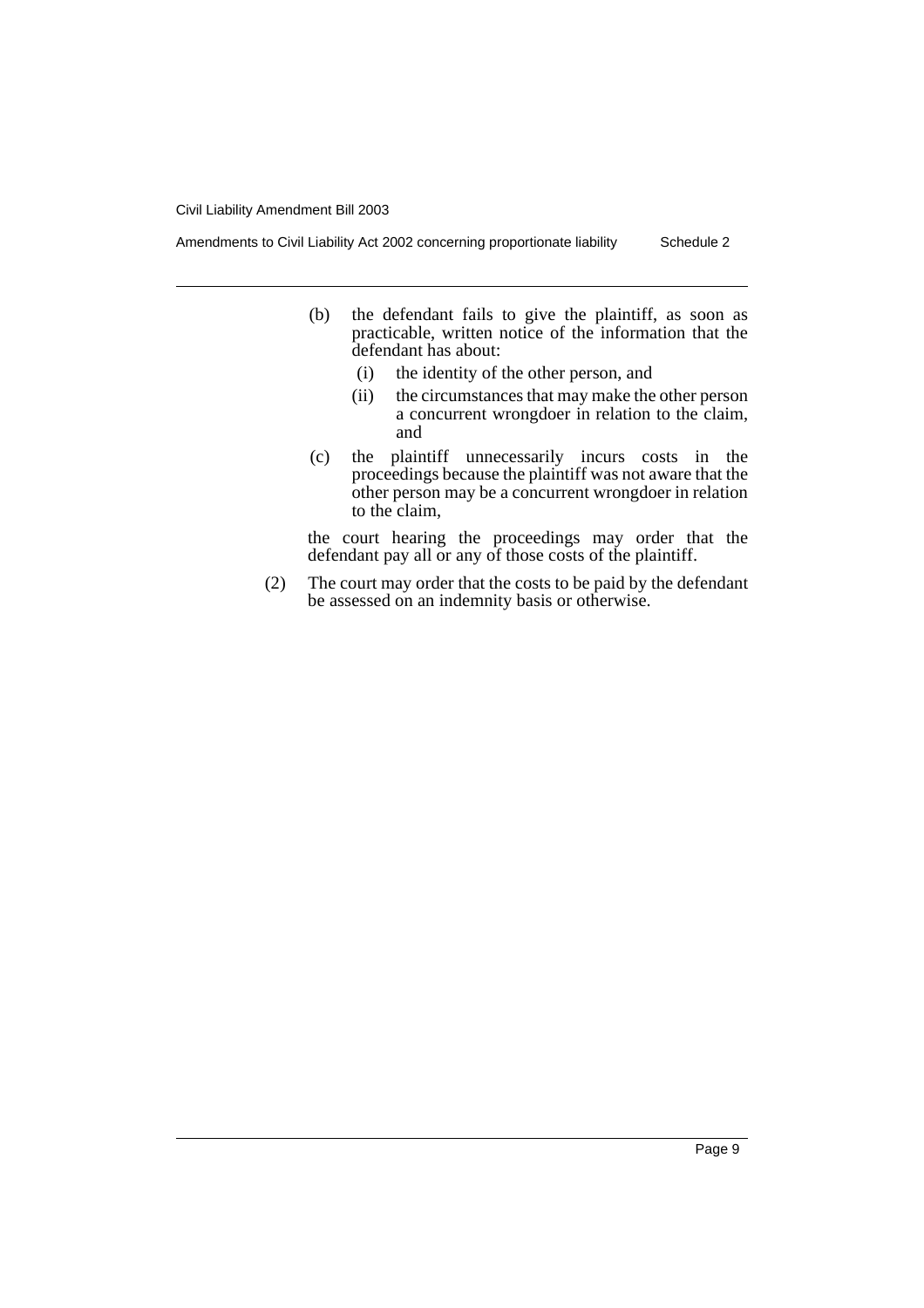- (b) the defendant fails to give the plaintiff, as soon as practicable, written notice of the information that the defendant has about:
	- (i) the identity of the other person, and
	- (ii) the circumstances that may make the other person a concurrent wrongdoer in relation to the claim, and
- (c) the plaintiff unnecessarily incurs costs in the proceedings because the plaintiff was not aware that the other person may be a concurrent wrongdoer in relation to the claim,

the court hearing the proceedings may order that the defendant pay all or any of those costs of the plaintiff.

(2) The court may order that the costs to be paid by the defendant be assessed on an indemnity basis or otherwise.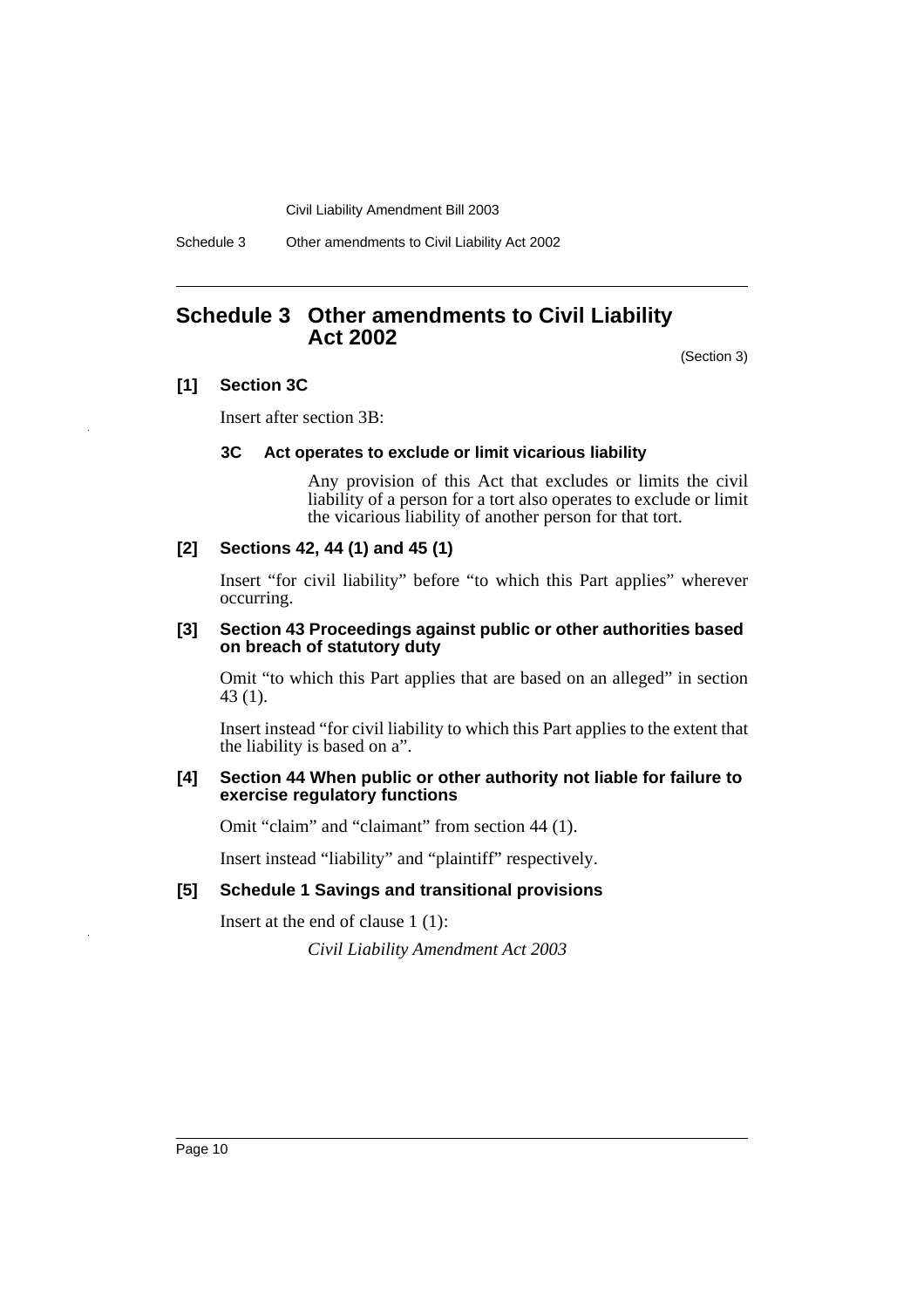Schedule 3 Other amendments to Civil Liability Act 2002

# **Schedule 3 Other amendments to Civil Liability Act 2002**

(Section 3)

## **[1] Section 3C**

Insert after section 3B:

#### **3C Act operates to exclude or limit vicarious liability**

Any provision of this Act that excludes or limits the civil liability of a person for a tort also operates to exclude or limit the vicarious liability of another person for that tort.

## **[2] Sections 42, 44 (1) and 45 (1)**

Insert "for civil liability" before "to which this Part applies" wherever occurring.

#### **[3] Section 43 Proceedings against public or other authorities based on breach of statutory duty**

Omit "to which this Part applies that are based on an alleged" in section 43 (1).

Insert instead "for civil liability to which this Part applies to the extent that the liability is based on a".

#### **[4] Section 44 When public or other authority not liable for failure to exercise regulatory functions**

Omit "claim" and "claimant" from section 44 (1).

Insert instead "liability" and "plaintiff" respectively.

#### **[5] Schedule 1 Savings and transitional provisions**

Insert at the end of clause 1 (1):

*Civil Liability Amendment Act 2003*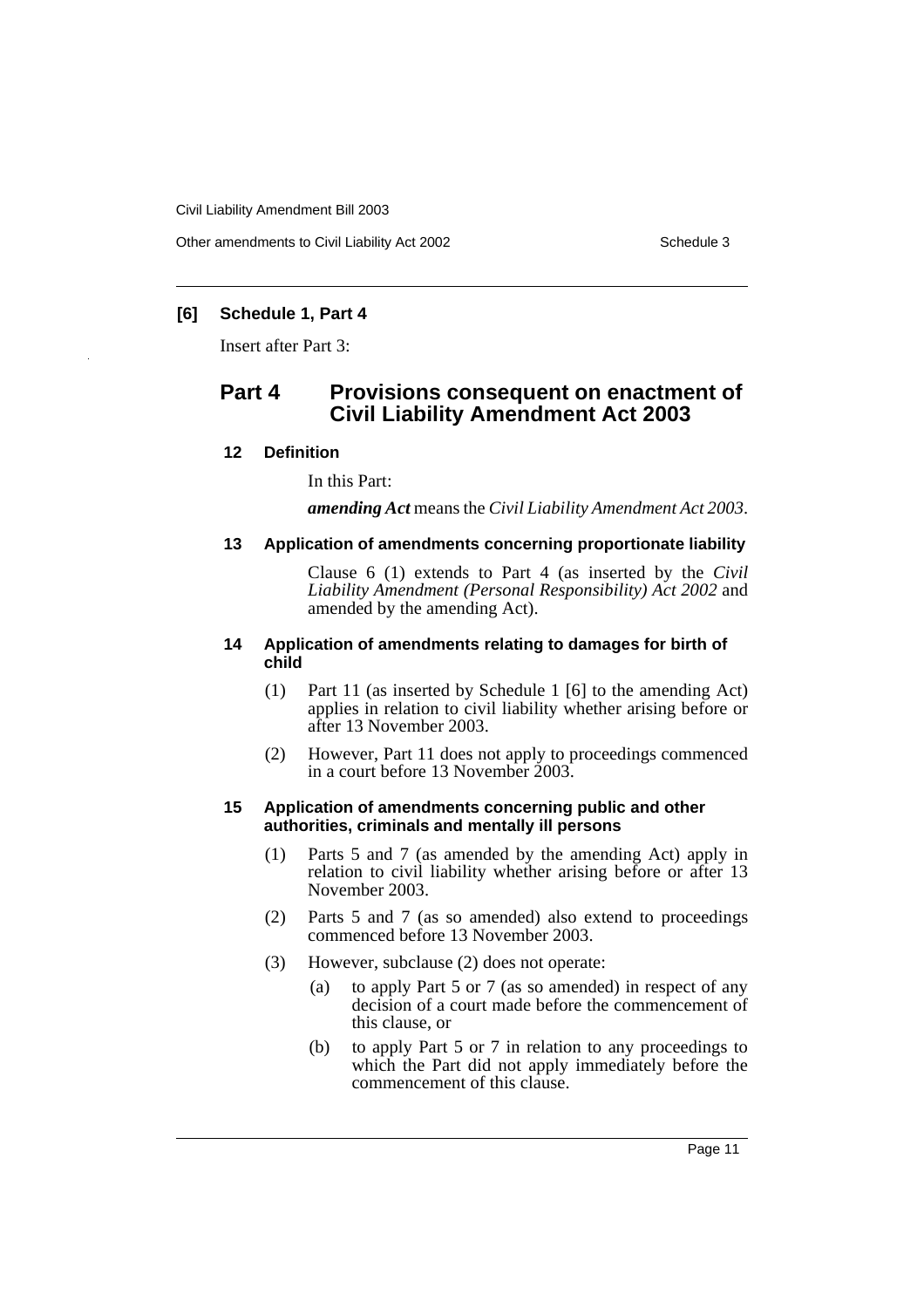Other amendments to Civil Liability Act 2002 Schedule 3

# **[6] Schedule 1, Part 4**

Insert after Part 3:

# **Part 4 Provisions consequent on enactment of Civil Liability Amendment Act 2003**

# **12 Definition**

In this Part:

*amending Act* means the *Civil Liability Amendment Act 2003*.

## **13 Application of amendments concerning proportionate liability**

Clause 6 (1) extends to Part 4 (as inserted by the *Civil Liability Amendment (Personal Responsibility) Act 2002* and amended by the amending Act).

#### **14 Application of amendments relating to damages for birth of child**

- (1) Part 11 (as inserted by Schedule 1 [6] to the amending Act) applies in relation to civil liability whether arising before or after 13 November 2003.
- (2) However, Part 11 does not apply to proceedings commenced in a court before 13 November 2003.

## **15 Application of amendments concerning public and other authorities, criminals and mentally ill persons**

- (1) Parts 5 and 7 (as amended by the amending Act) apply in relation to civil liability whether arising before or after 13 November 2003.
- (2) Parts 5 and 7 (as so amended) also extend to proceedings commenced before 13 November 2003.
- (3) However, subclause (2) does not operate:
	- (a) to apply Part 5 or 7 (as so amended) in respect of any decision of a court made before the commencement of this clause, or
	- (b) to apply Part 5 or 7 in relation to any proceedings to which the Part did not apply immediately before the commencement of this clause.